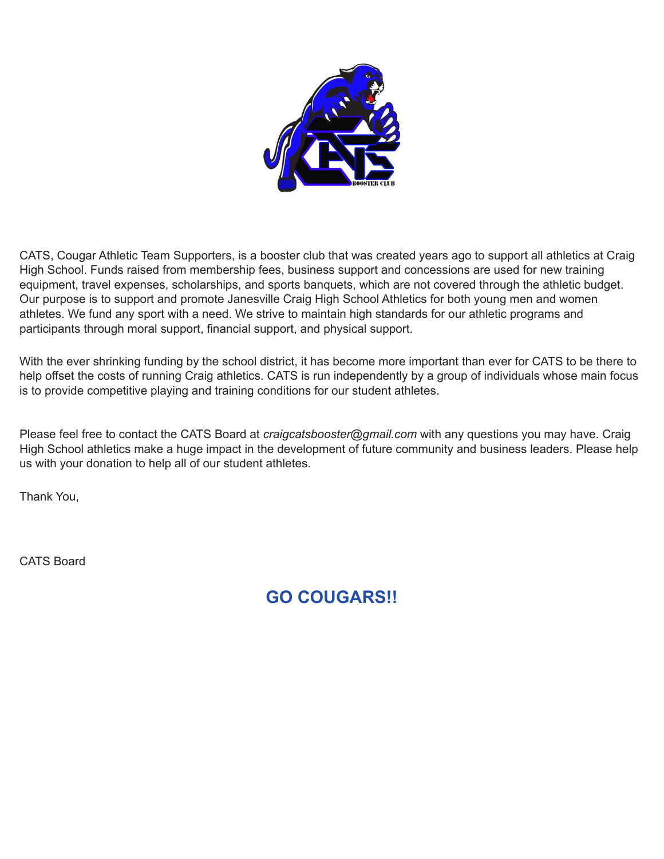

CATS, Cougar Athletic Team Supporters, is a booster club that was created years ago to support all athletics at Craig High School. Funds raised from membership fees, business support and concessions are used for new training equipment, travel expenses, scholarships, and sports banquets, which are not covered through the athletic budget. Our purpose is to support and promote Janesville Craig High School Athletics for both young men and women athletes. We fund any sport with a need. We strive to maintain high standards for our athletic programs and participants through moral support, financial support, and physical support.

With the ever shrinking funding by the school district, it has become more important than ever for CATS to be there to help offset the costs of running Craig athletics. CATS is run independently by a group of individuals whose main focus is to provide competitive playing and training conditions for our student athletes.

Please feel free to contact the CATS Board at *craigcatsbooster@gmail.com* with any questions you may have. Craig High School athletics make a huge impact in the development of future community and business leaders. Please help us with your donation to help all of our student athletes.

Thank You,

CATS Board

**GO COUGARS!!**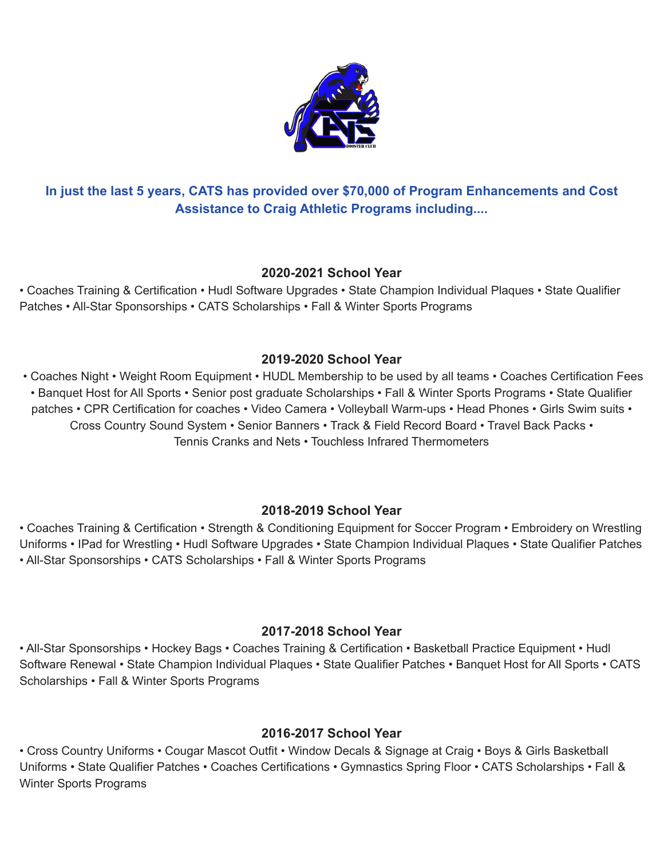

# **In just the last 5 years, CATS has provided over \$70,000 of Program Enhancements and Cost Assistance to Craig Athletic Programs including....**

#### **2020-2021 School Year**

• Coaches Training & Certification • Hudl Software Upgrades • State Champion Individual Plaques • State Qualifier Patches • All-Star Sponsorships • CATS Scholarships • Fall & Winter Sports Programs

## **2019-2020 School Year**

• Coaches Night • Weight Room Equipment • HUDL Membership to be used by all teams • Coaches Certification Fees • Banquet Host for All Sports • Senior post graduate Scholarships • Fall & Winter Sports Programs • State Qualifier patches • CPR Certification for coaches • Video Camera • Volleyball Warm-ups • Head Phones • Girls Swim suits • Cross Country Sound System • Senior Banners • Track & Field Record Board • Travel Back Packs • Tennis Cranks and Nets • Touchless Infrared Thermometers

## **2018-2019 School Year**

• Coaches Training & Certification • Strength & Conditioning Equipment for Soccer Program • Embroidery on Wrestling Uniforms • IPad for Wrestling • Hudl Software Upgrades • State Champion Individual Plaques • State Qualifier Patches • All-Star Sponsorships • CATS Scholarships • Fall & Winter Sports Programs

## **2017-2018 School Year**

• All-Star Sponsorships • Hockey Bags • Coaches Training & Certification • Basketball Practice Equipment • Hudl Software Renewal • State Champion Individual Plaques • State Qualifier Patches • Banquet Host for All Sports • CATS Scholarships • Fall & Winter Sports Programs

# **2016-2017 School Year**

• Cross Country Uniforms • Cougar Mascot Outfit • Window Decals & Signage at Craig • Boys & Girls Basketball Uniforms • State Qualifier Patches • Coaches Certifications • Gymnastics Spring Floor • CATS Scholarships • Fall & Winter Sports Programs